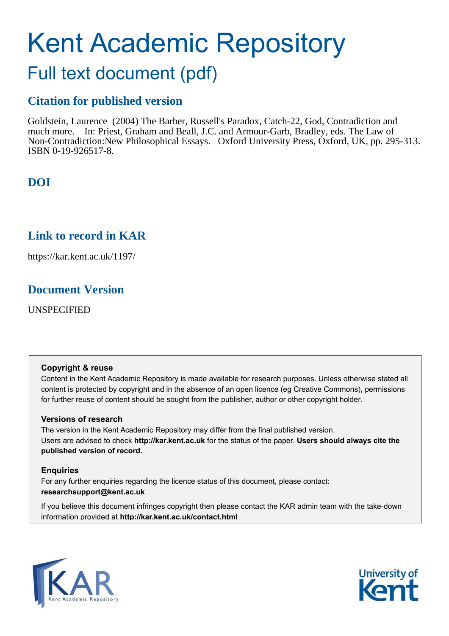# Kent Academic Repository

## Full text document (pdf)

## **Citation for published version**

Goldstein, Laurence (2004) The Barber, Russell's Paradox, Catch-22, God, Contradiction and much more. In: Priest, Graham and Beall, J.C. and Armour-Garb, Bradley, eds. The Law of Non-Contradiction:New Philosophical Essays. Oxford University Press, Oxford, UK, pp. 295-313. ISBN 0-19-926517-8.

## **DOI**

## **Link to record in KAR**

https://kar.kent.ac.uk/1197/

## **Document Version**

UNSPECIFIED

#### **Copyright & reuse**

Content in the Kent Academic Repository is made available for research purposes. Unless otherwise stated all content is protected by copyright and in the absence of an open licence (eg Creative Commons), permissions for further reuse of content should be sought from the publisher, author or other copyright holder.

#### **Versions of research**

The version in the Kent Academic Repository may differ from the final published version. Users are advised to check **http://kar.kent.ac.uk** for the status of the paper. **Users should always cite the published version of record.**

#### **Enquiries**

For any further enquiries regarding the licence status of this document, please contact: **researchsupport@kent.ac.uk**

If you believe this document infringes copyright then please contact the KAR admin team with the take-down information provided at **http://kar.kent.ac.uk/contact.html**



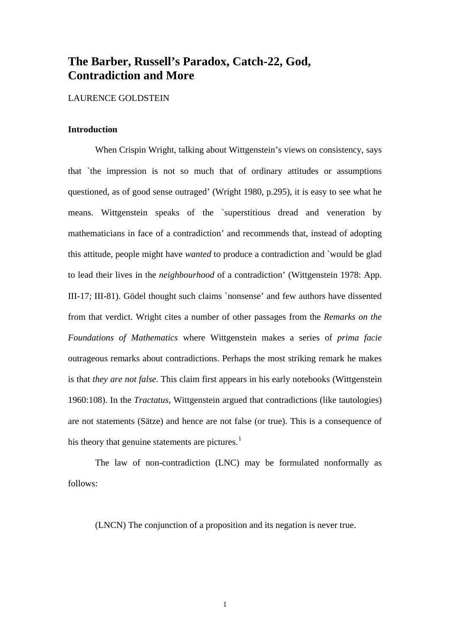### **The Barber, Russell's Paradox, Catch-22, God, Contradiction and More**

#### LAURENCE GOLDSTEIN

#### **Introduction**

 When Crispin Wright, talking about Wittgenstein's views on consistency, says that `the impression is not so much that of ordinary attitudes or assumptions questioned, as of good sense outraged' (Wright 1980, p.295), it is easy to see what he means. Wittgenstein speaks of the `superstitious dread and veneration by mathematicians in face of a contradiction' and recommends that, instead of adopting this attitude, people might have *wanted* to produce a contradiction and `would be glad to lead their lives in the *neighbourhood* of a contradiction' (Wittgenstein 1978: App. III-17; III-81). Gödel thought such claims `nonsense' and few authors have dissented from that verdict. Wright cites a number of other passages from the *Remarks on the Foundations of Mathematics* where Wittgenstein makes a series of *prima facie*  outrageous remarks about contradictions. Perhaps the most striking remark he makes is that *they are not false*. This claim first appears in his early notebooks (Wittgenstein 1960:108). In the *Tractatus*, Wittgenstein argued that contradictions (like tautologies) are not statements (Sätze) and hence are not false (or true). This is a consequence of his theory that genuine statements are pictures. $<sup>1</sup>$  $<sup>1</sup>$  $<sup>1</sup>$ </sup>

The law of non-contradiction (LNC) may be formulated nonformally as follows:

(LNCN) The conjunction of a proposition and its negation is never true.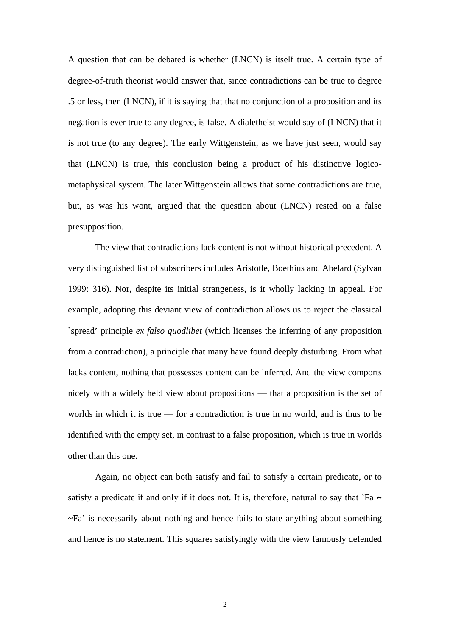A question that can be debated is whether (LNCN) is itself true. A certain type of degree-of-truth theorist would answer that, since contradictions can be true to degree .5 or less, then (LNCN), if it is saying that that no conjunction of a proposition and its negation is ever true to any degree, is false. A dialetheist would say of (LNCN) that it is not true (to any degree). The early Wittgenstein, as we have just seen, would say that (LNCN) is true, this conclusion being a product of his distinctive logicometaphysical system. The later Wittgenstein allows that some contradictions are true, but, as was his wont, argued that the question about (LNCN) rested on a false presupposition.

The view that contradictions lack content is not without historical precedent. A very distinguished list of subscribers includes Aristotle, Boethius and Abelard (Sylvan 1999: 316). Nor, despite its initial strangeness, is it wholly lacking in appeal. For example, adopting this deviant view of contradiction allows us to reject the classical `spread' principle *ex falso quodlibet* (which licenses the inferring of any proposition from a contradiction), a principle that many have found deeply disturbing. From what lacks content, nothing that possesses content can be inferred. And the view comports nicely with a widely held view about propositions — that a proposition is the set of worlds in which it is true — for a contradiction is true in no world, and is thus to be identified with the empty set, in contrast to a false proposition, which is true in worlds other than this one.

Again, no object can both satisfy and fail to satisfy a certain predicate, or to satisfy a predicate if and only if it does not. It is, therefore, natural to say that `Fa  $\leftrightarrow$  $\neg Fa'$  is necessarily about nothing and hence fails to state anything about something and hence is no statement. This squares satisfyingly with the view famously defended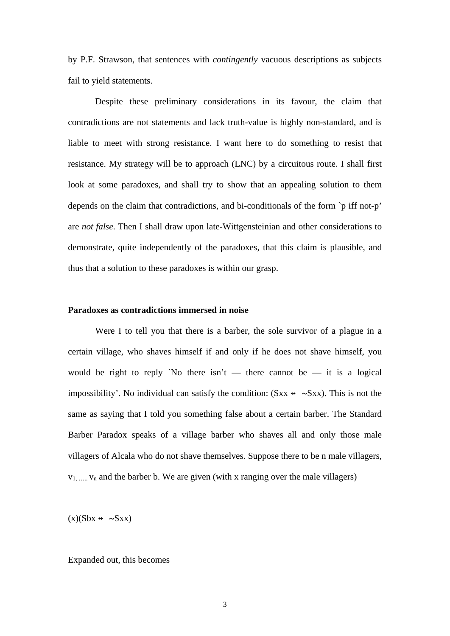by P.F. Strawson, that sentences with *contingently* vacuous descriptions as subjects fail to yield statements.

Despite these preliminary considerations in its favour, the claim that contradictions are not statements and lack truth-value is highly non-standard, and is liable to meet with strong resistance. I want here to do something to resist that resistance. My strategy will be to approach (LNC) by a circuitous route. I shall first look at some paradoxes, and shall try to show that an appealing solution to them depends on the claim that contradictions, and bi-conditionals of the form `p iff not-p' are *not false*. Then I shall draw upon late-Wittgensteinian and other considerations to demonstrate, quite independently of the paradoxes, that this claim is plausible, and thus that a solution to these paradoxes is within our grasp.

#### **Paradoxes as contradictions immersed in noise**

Were I to tell you that there is a barber, the sole survivor of a plague in a certain village, who shaves himself if and only if he does not shave himself, you would be right to reply `No there isn't — there cannot be — it is a logical impossibility'. No individual can satisfy the condition:  $(Sxx \leftrightarrow \sim Sxx)$ . This is not the same as saying that I told you something false about a certain barber. The Standard Barber Paradox speaks of a village barber who shaves all and only those male villagers of Alcala who do not shave themselves. Suppose there to be n male villagers,  $v_1$ , ...  $v_n$  and the barber b. We are given (with x ranging over the male villagers)

 $(x)(Sbx \leftrightarrow \sim Sxx)$ 

Expanded out, this becomes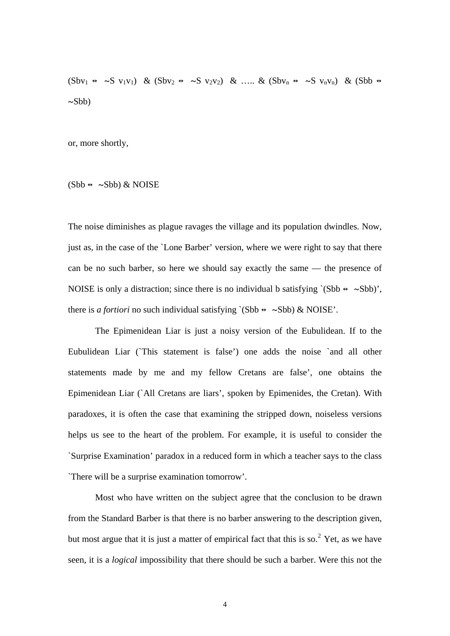$(Sbv_1 \leftrightarrow \sim S \ v_1v_1) \& (Sbv_2 \leftrightarrow \sim S \ v_2v_2) \& \dots \& (Sbv_n \leftrightarrow \sim S \ v_nv_n) \& (Sbb \leftrightarrow \sim S \ v_1v_1)$  $\sim$ Sbb)

or, more shortly,

 $(Sbb \leftrightarrow \sim Sbb) \& \text{NOISE}$ 

The noise diminishes as plague ravages the village and its population dwindles. Now, just as, in the case of the `Lone Barber' version, where we were right to say that there can be no such barber, so here we should say exactly the same — the presence of NOISE is only a distraction; since there is no individual b satisfying `(Sbb  $\leftrightarrow \sim$ Sbb)', there is *a fortiori* no such individual satisfying  $(Sbb \leftrightarrow \sim Sbb) \& \text{NOISE}'.$ 

The Epimenidean Liar is just a noisy version of the Eubulidean. If to the Eubulidean Liar (`This statement is false') one adds the noise `and all other statements made by me and my fellow Cretans are false', one obtains the Epimenidean Liar (`All Cretans are liars', spoken by Epimenides, the Cretan). With paradoxes, it is often the case that examining the stripped down, noiseless versions helps us see to the heart of the problem. For example, it is useful to consider the `Surprise Examination' paradox in a reduced form in which a teacher says to the class `There will be a surprise examination tomorrow'.

 Most who have written on the subject agree that the conclusion to be drawn from the Standard Barber is that there is no barber answering to the description given, but most argue that it is just a matter of empirical fact that this is so.<sup>[2](#page-22-1)</sup> Yet, as we have seen, it is a *logical* impossibility that there should be such a barber. Were this not the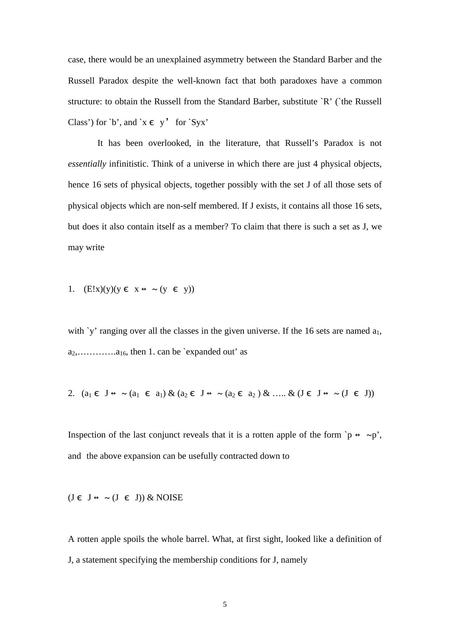case, there would be an unexplained asymmetry between the Standard Barber and the Russell Paradox despite the well-known fact that both paradoxes have a common structure: to obtain the Russell from the Standard Barber, substitute `R' (`the Russell Class') for `b', and `x  $\epsilon$  y' for `Syx'

 It has been overlooked, in the literature, that Russell's Paradox is not *essentially* infinitistic. Think of a universe in which there are just 4 physical objects, hence 16 sets of physical objects, together possibly with the set J of all those sets of physical objects which are non-self membered. If J exists, it contains all those 16 sets, but does it also contain itself as a member? To claim that there is such a set as J, we may write

1.  $(E!x)(y)(y \in x \leftrightarrow \sim (y \in y))$ 

with 'y' ranging over all the classes in the given universe. If the 16 sets are named  $a_1$ ,  $a_2, \ldots, a_{16}$ , then 1. can be `expanded out' as

2. 
$$
(a_1 \in J \leftrightarrow \sim (a_1 \in a_1) \& (a_2 \in J \leftrightarrow \sim (a_2 \in a_2) \& \dots \& (J \in J \leftrightarrow \sim (J \in J))
$$

Inspection of the last conjunct reveals that it is a rotten apple of the form `p  $\leftrightarrow \sim p'$ , and the above expansion can be usefully contracted down to

 $(J \in J \leftrightarrow \sim (J \in J))$  & NOISE

A rotten apple spoils the whole barrel. What, at first sight, looked like a definition of J, a statement specifying the membership conditions for J, namely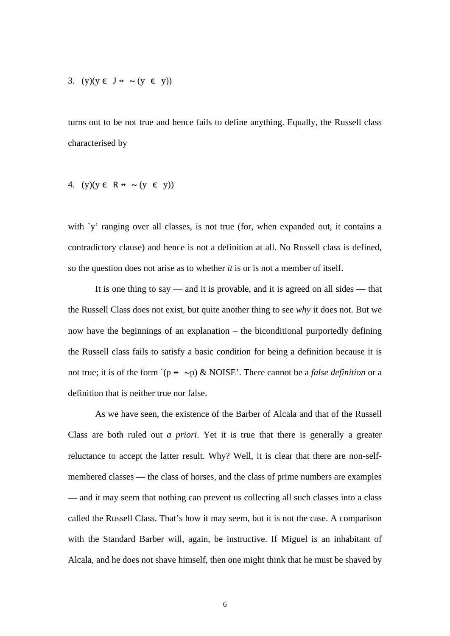3. (y)(y 
$$
\in
$$
 J  $\leftrightarrow$  ~ (y  $\in$  y))

turns out to be not true and hence fails to define anything. Equally, the Russell class characterised by

4. (y)(y 
$$
\in
$$
 R  $\leftrightarrow$  ~ (y  $\in$  y))

with 'y' ranging over all classes, is not true (for, when expanded out, it contains a contradictory clause) and hence is not a definition at all. No Russell class is defined, so the question does not arise as to whether *it* is or is not a member of itself.

It is one thing to say — and it is provable, and it is agreed on all sides **—** that the Russell Class does not exist, but quite another thing to see *why* it does not. But we now have the beginnings of an explanation – the biconditional purportedly defining the Russell class fails to satisfy a basic condition for being a definition because it is not true; it is of the form  $(p \leftrightarrow \neg p) \& \text{NOISE'}$ . There cannot be a *false definition* or a definition that is neither true nor false.

 As we have seen, the existence of the Barber of Alcala and that of the Russell Class are both ruled out *a priori*. Yet it is true that there is generally a greater reluctance to accept the latter result. Why? Well, it is clear that there are non-selfmembered classes — the class of horses, and the class of prime numbers are examples **—** and it may seem that nothing can prevent us collecting all such classes into a class called the Russell Class. That's how it may seem, but it is not the case. A comparison with the Standard Barber will, again, be instructive. If Miguel is an inhabitant of Alcala, and he does not shave himself, then one might think that he must be shaved by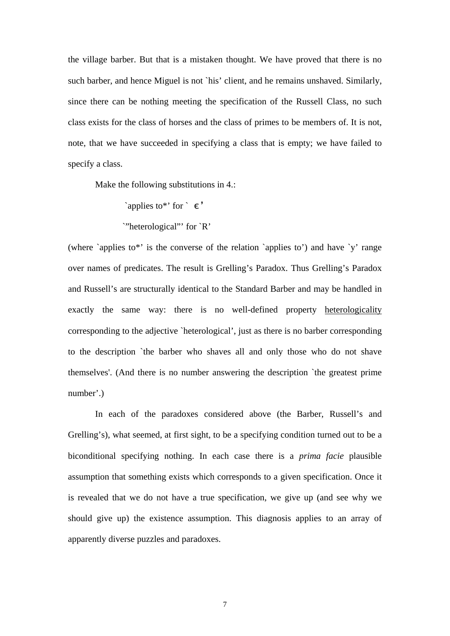the village barber. But that is a mistaken thought. We have proved that there is no such barber, and hence Miguel is not `his' client, and he remains unshaved. Similarly, since there can be nothing meeting the specification of the Russell Class, no such class exists for the class of horses and the class of primes to be members of. It is not, note, that we have succeeded in specifying a class that is empty; we have failed to specify a class.

Make the following substitutions in 4.:

'applies to\*' for  $\in$ '

`"heterological"' for `R'

(where 'applies to\*' is the converse of the relation 'applies to') and have 'y' range over names of predicates. The result is Grelling's Paradox. Thus Grelling's Paradox and Russell's are structurally identical to the Standard Barber and may be handled in exactly the same way: there is no well-defined property heterologicality corresponding to the adjective `heterological', just as there is no barber corresponding to the description `the barber who shaves all and only those who do not shave themselves'. (And there is no number answering the description `the greatest prime number'.)

In each of the paradoxes considered above (the Barber, Russell's and Grelling's), what seemed, at first sight, to be a specifying condition turned out to be a biconditional specifying nothing. In each case there is a *prima facie* plausible assumption that something exists which corresponds to a given specification. Once it is revealed that we do not have a true specification, we give up (and see why we should give up) the existence assumption. This diagnosis applies to an array of apparently diverse puzzles and paradoxes.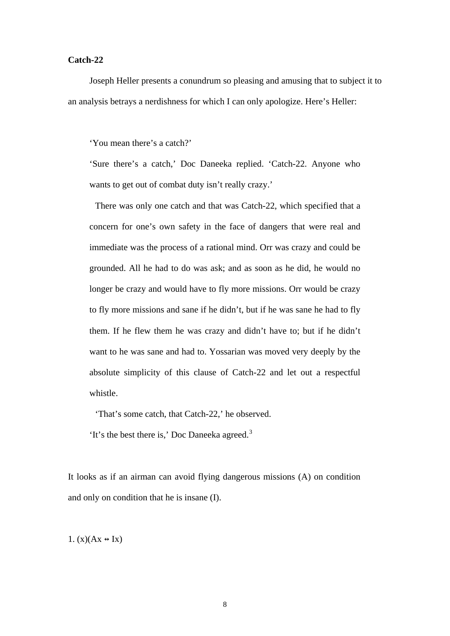#### **Catch-22**

Joseph Heller presents a conundrum so pleasing and amusing that to subject it to an analysis betrays a nerdishness for which I can only apologize. Here's Heller:

'You mean there's a catch?'

'Sure there's a catch,' Doc Daneeka replied. 'Catch-22. Anyone who wants to get out of combat duty isn't really crazy.'

 There was only one catch and that was Catch-22, which specified that a concern for one's own safety in the face of dangers that were real and immediate was the process of a rational mind. Orr was crazy and could be grounded. All he had to do was ask; and as soon as he did, he would no longer be crazy and would have to fly more missions. Orr would be crazy to fly more missions and sane if he didn't, but if he was sane he had to fly them. If he flew them he was crazy and didn't have to; but if he didn't want to he was sane and had to. Yossarian was moved very deeply by the absolute simplicity of this clause of Catch-22 and let out a respectful whistle.

'That's some catch, that Catch-22,' he observed.

'It's the best there is,' Doc Daneeka agreed.[3](#page-22-1)

It looks as if an airman can avoid flying dangerous missions (A) on condition and only on condition that he is insane (I).

1.  $(x)(Ax \leftrightarrow Ix)$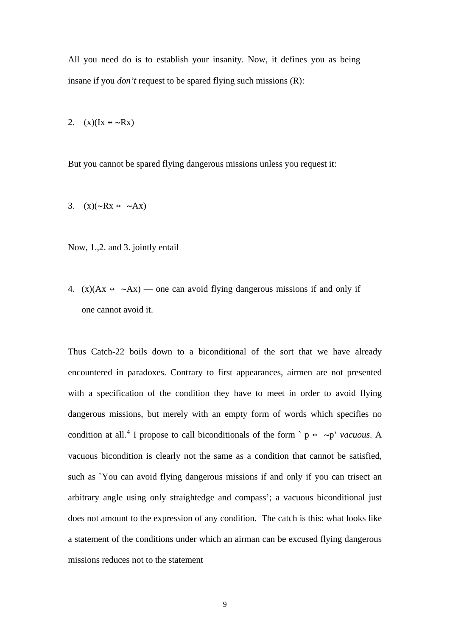All you need do is to establish your insanity. Now, it defines you as being insane if you *don't* request to be spared flying such missions (R):

2.  $(x)(Ix \leftrightarrow \sim Rx)$ 

But you cannot be spared flying dangerous missions unless you request it:

3. 
$$
(x)(\sim Rx \leftrightarrow \sim Ax)
$$

Now, 1.,2. and 3. jointly entail

4.  $(x)(Ax \leftrightarrow \neg Ax)$  — one can avoid flying dangerous missions if and only if one cannot avoid it.

Thus Catch-22 boils down to a biconditional of the sort that we have already encountered in paradoxes. Contrary to first appearances, airmen are not presented with a specification of the condition they have to meet in order to avoid flying dangerous missions, but merely with an empty form of words which specifies no condition at all.<sup>[4](#page-22-1)</sup> I propose to call biconditionals of the form `  $p \leftrightarrow \sim p'$  *vacuous*. A vacuous bicondition is clearly not the same as a condition that cannot be satisfied, such as `You can avoid flying dangerous missions if and only if you can trisect an arbitrary angle using only straightedge and compass'; a vacuous biconditional just does not amount to the expression of any condition. The catch is this: what looks like a statement of the conditions under which an airman can be excused flying dangerous missions reduces not to the statement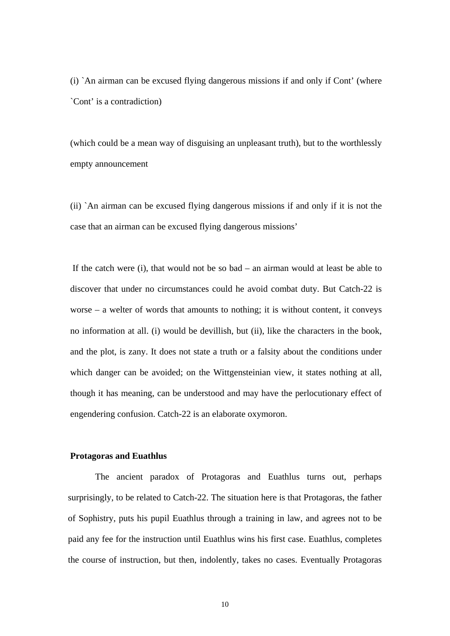(i) `An airman can be excused flying dangerous missions if and only if Cont' (where `Cont' is a contradiction)

(which could be a mean way of disguising an unpleasant truth), but to the worthlessly empty announcement

(ii) `An airman can be excused flying dangerous missions if and only if it is not the case that an airman can be excused flying dangerous missions'

 If the catch were (i), that would not be so bad – an airman would at least be able to discover that under no circumstances could he avoid combat duty. But Catch-22 is worse – a welter of words that amounts to nothing; it is without content, it conveys no information at all. (i) would be devillish, but (ii), like the characters in the book, and the plot, is zany. It does not state a truth or a falsity about the conditions under which danger can be avoided; on the Wittgensteinian view, it states nothing at all, though it has meaning, can be understood and may have the perlocutionary effect of engendering confusion. Catch-22 is an elaborate oxymoron.

#### **Protagoras and Euathlus**

 The ancient paradox of Protagoras and Euathlus turns out, perhaps surprisingly, to be related to Catch-22. The situation here is that Protagoras, the father of Sophistry, puts his pupil Euathlus through a training in law, and agrees not to be paid any fee for the instruction until Euathlus wins his first case. Euathlus, completes the course of instruction, but then, indolently, takes no cases. Eventually Protagoras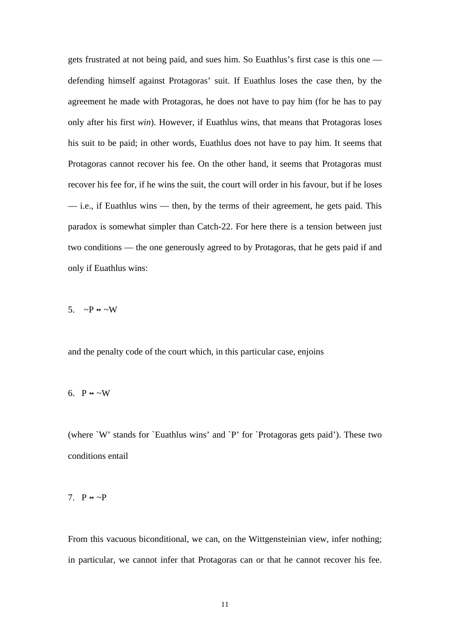gets frustrated at not being paid, and sues him. So Euathlus's first case is this one defending himself against Protagoras' suit. If Euathlus loses the case then, by the agreement he made with Protagoras, he does not have to pay him (for he has to pay only after his first *win*). However, if Euathlus wins, that means that Protagoras loses his suit to be paid; in other words, Euathlus does not have to pay him. It seems that Protagoras cannot recover his fee. On the other hand, it seems that Protagoras must recover his fee for, if he wins the suit, the court will order in his favour, but if he loses — i.e., if Euathlus wins — then, by the terms of their agreement, he gets paid. This paradox is somewhat simpler than Catch-22. For here there is a tension between just two conditions — the one generously agreed to by Protagoras, that he gets paid if and only if Euathlus wins:

5.  $\sim P \leftrightarrow \sim W$ 

and the penalty code of the court which, in this particular case, enjoins

6. 
$$
P \leftrightarrow \sim W
$$

(where `W' stands for `Euathlus wins' and `P' for `Protagoras gets paid'). These two conditions entail

#### 7.  $P \leftrightarrow \sim P$

From this vacuous biconditional, we can, on the Wittgensteinian view, infer nothing; in particular, we cannot infer that Protagoras can or that he cannot recover his fee.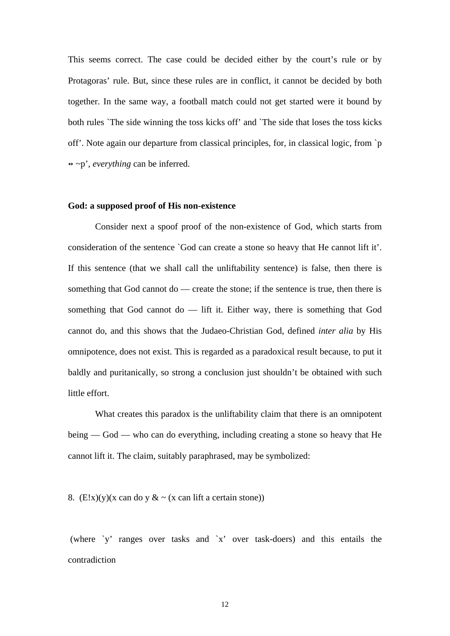This seems correct. The case could be decided either by the court's rule or by Protagoras' rule. But, since these rules are in conflict, it cannot be decided by both together. In the same way, a football match could not get started were it bound by both rules `The side winning the toss kicks off' and `The side that loses the toss kicks off'. Note again our departure from classical principles, for, in classical logic, from `p ら ~p', *everything* can be inferred.

#### **God: a supposed proof of His non-existence**

Consider next a spoof proof of the non-existence of God, which starts from consideration of the sentence `God can create a stone so heavy that He cannot lift it'. If this sentence (that we shall call the unliftability sentence) is false, then there is something that God cannot do — create the stone; if the sentence is true, then there is something that God cannot do — lift it. Either way, there is something that God cannot do, and this shows that the Judaeo-Christian God, defined *inter alia* by His omnipotence, does not exist. This is regarded as a paradoxical result because, to put it baldly and puritanically, so strong a conclusion just shouldn't be obtained with such little effort.

What creates this paradox is the unliftability claim that there is an omnipotent being — God — who can do everything, including creating a stone so heavy that He cannot lift it. The claim, suitably paraphrased, may be symbolized:

8.  $(E!x)(y)(x \text{ can do } y \& \sim (x \text{ can lift a certain stone}))$ 

 (where `y' ranges over tasks and `x' over task-doers) and this entails the contradiction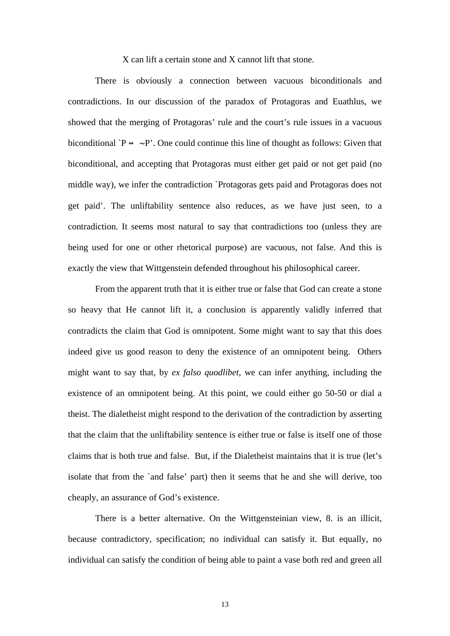X can lift a certain stone and X cannot lift that stone.

There is obviously a connection between vacuous biconditionals and contradictions. In our discussion of the paradox of Protagoras and Euathlus, we showed that the merging of Protagoras' rule and the court's rule issues in a vacuous biconditional `P  $\leftrightarrow \sim P$ '. One could continue this line of thought as follows: Given that biconditional, and accepting that Protagoras must either get paid or not get paid (no middle way), we infer the contradiction `Protagoras gets paid and Protagoras does not get paid'. The unliftability sentence also reduces, as we have just seen, to a contradiction. It seems most natural to say that contradictions too (unless they are being used for one or other rhetorical purpose) are vacuous, not false. And this is exactly the view that Wittgenstein defended throughout his philosophical career.

From the apparent truth that it is either true or false that God can create a stone so heavy that He cannot lift it, a conclusion is apparently validly inferred that contradicts the claim that God is omnipotent. Some might want to say that this does indeed give us good reason to deny the existence of an omnipotent being. Others might want to say that, by *ex falso quodlibet*, we can infer anything, including the existence of an omnipotent being. At this point, we could either go 50-50 or dial a theist. The dialetheist might respond to the derivation of the contradiction by asserting that the claim that the unliftability sentence is either true or false is itself one of those claims that is both true and false. But, if the Dialetheist maintains that it is true (let's isolate that from the `and false' part) then it seems that he and she will derive, too cheaply, an assurance of God's existence.

There is a better alternative. On the Wittgensteinian view, 8. is an illicit, because contradictory, specification; no individual can satisfy it. But equally, no individual can satisfy the condition of being able to paint a vase both red and green all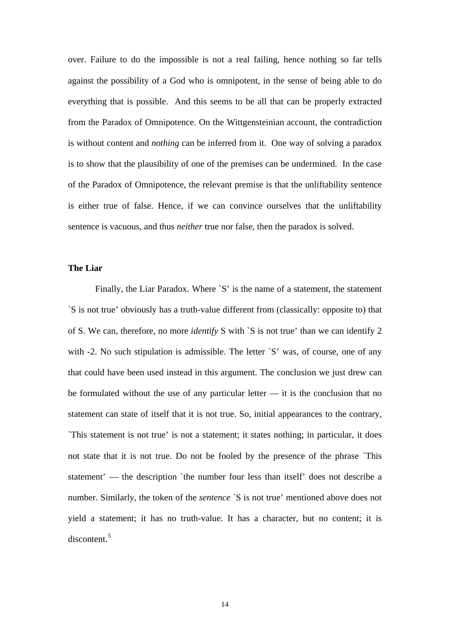over. Failure to do the impossible is not a real failing, hence nothing so far tells against the possibility of a God who is omnipotent, in the sense of being able to do everything that is possible. And this seems to be all that can be properly extracted from the Paradox of Omnipotence. On the Wittgensteinian account, the contradiction is without content and *nothing* can be inferred from it. One way of solving a paradox is to show that the plausibility of one of the premises can be undermined. In the case of the Paradox of Omnipotence, the relevant premise is that the unliftability sentence is either true of false. Hence, if we can convince ourselves that the unliftability sentence is vacuous, and thus *neither* true nor false, then the paradox is solved.

#### **The Liar**

Finally, the Liar Paradox. Where `S' is the name of a statement, the statement `S is not true' obviously has a truth-value different from (classically: opposite to) that of S. We can, therefore, no more *identify* S with `S is not true' than we can identify 2 with -2. No such stipulation is admissible. The letter `S' was, of course, one of any that could have been used instead in this argument. The conclusion we just drew can be formulated without the use of any particular letter — it is the conclusion that no statement can state of itself that it is not true. So, initial appearances to the contrary, `This statement is not true' is not a statement; it states nothing; in particular, it does not state that it is not true. Do not be fooled by the presence of the phrase `This statement' — the description `the number four less than itself' does not describe a number. Similarly, the token of the *sentence* `S is not true' mentioned above does not yield a statement; it has no truth-value. It has a character, but no content; it is discontent.<sup>[5](#page-22-1)</sup>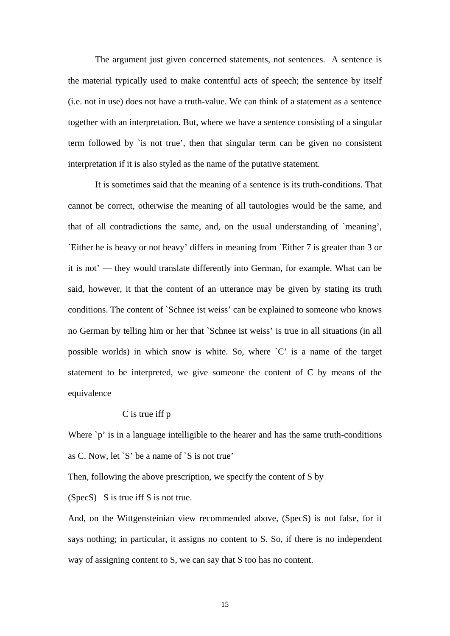The argument just given concerned statements, not sentences. A sentence is the material typically used to make contentful acts of speech; the sentence by itself (i.e. not in use) does not have a truth-value. We can think of a statement as a sentence together with an interpretation. But, where we have a sentence consisting of a singular term followed by `is not true', then that singular term can be given no consistent interpretation if it is also styled as the name of the putative statement.

It is sometimes said that the meaning of a sentence is its truth-conditions. That cannot be correct, otherwise the meaning of all tautologies would be the same, and that of all contradictions the same, and, on the usual understanding of `meaning', `Either he is heavy or not heavy' differs in meaning from `Either 7 is greater than 3 or it is not' — they would translate differently into German, for example. What can be said, however, it that the content of an utterance may be given by stating its truth conditions. The content of `Schnee ist weiss' can be explained to someone who knows no German by telling him or her that `Schnee ist weiss' is true in all situations (in all possible worlds) in which snow is white. So, where `C' is a name of the target statement to be interpreted, we give someone the content of C by means of the equivalence

#### C is true iff p

Where `p' is in a language intelligible to the hearer and has the same truth-conditions as C. Now, let `S' be a name of `S is not true'

Then, following the above prescription, we specify the content of S by

(SpecS) S is true iff S is not true.

And, on the Wittgensteinian view recommended above, (SpecS) is not false, for it says nothing; in particular, it assigns no content to S. So, if there is no independent way of assigning content to S, we can say that S too has no content.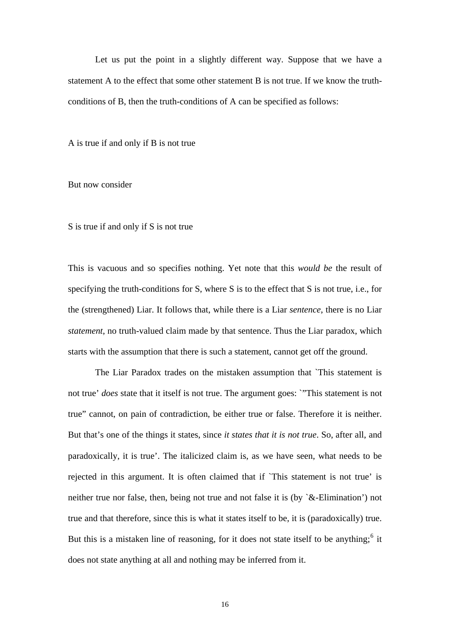Let us put the point in a slightly different way. Suppose that we have a statement A to the effect that some other statement B is not true. If we know the truthconditions of B, then the truth-conditions of A can be specified as follows:

A is true if and only if B is not true

But now consider

S is true if and only if S is not true

This is vacuous and so specifies nothing. Yet note that this *would be* the result of specifying the truth-conditions for S, where S is to the effect that S is not true, i.e., for the (strengthened) Liar. It follows that, while there is a Liar *sentence*, there is no Liar *statement*, no truth-valued claim made by that sentence. Thus the Liar paradox, which starts with the assumption that there is such a statement, cannot get off the ground.

The Liar Paradox trades on the mistaken assumption that `This statement is not true' *does* state that it itself is not true. The argument goes: `"This statement is not true" cannot, on pain of contradiction, be either true or false. Therefore it is neither. But that's one of the things it states, since *it states that it is not true*. So, after all, and paradoxically, it is true'. The italicized claim is, as we have seen, what needs to be rejected in this argument. It is often claimed that if `This statement is not true' is neither true nor false, then, being not true and not false it is (by `&-Elimination') not true and that therefore, since this is what it states itself to be, it is (paradoxically) true. But this is a mistaken line of reasoning, for it does not state itself to be anything; $<sup>6</sup>$  $<sup>6</sup>$  $<sup>6</sup>$  it</sup> does not state anything at all and nothing may be inferred from it.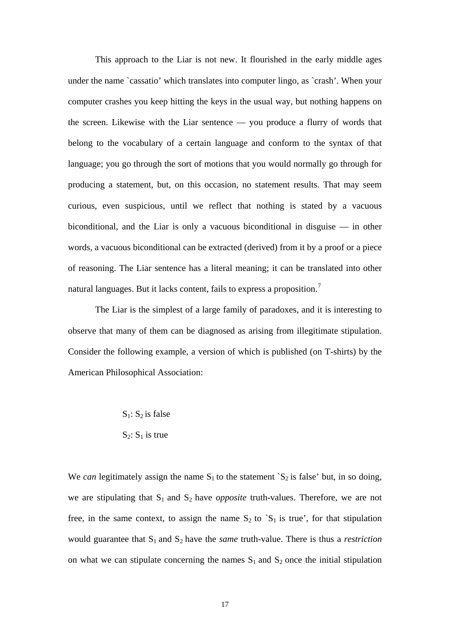This approach to the Liar is not new. It flourished in the early middle ages under the name `cassatio' which translates into computer lingo, as `crash'. When your computer crashes you keep hitting the keys in the usual way, but nothing happens on the screen. Likewise with the Liar sentence — you produce a flurry of words that belong to the vocabulary of a certain language and conform to the syntax of that language; you go through the sort of motions that you would normally go through for producing a statement, but, on this occasion, no statement results. That may seem curious, even suspicious, until we reflect that nothing is stated by a vacuous biconditional, and the Liar is only a vacuous biconditional in disguise — in other words, a vacuous biconditional can be extracted (derived) from it by a proof or a piece of reasoning. The Liar sentence has a literal meaning; it can be translated into other natural languages. But it lacks content, fails to express a proposition.[7](#page-22-1)

 The Liar is the simplest of a large family of paradoxes, and it is interesting to observe that many of them can be diagnosed as arising from illegitimate stipulation. Consider the following example, a version of which is published (on T-shirts) by the American Philosophical Association:

## $S_1$ :  $S_2$  is false

#### $S_2$ :  $S_1$  is true

We *can* legitimately assign the name  $S_1$  to the statement ` $S_2$  is false' but, in so doing, we are stipulating that  $S_1$  and  $S_2$  have *opposite* truth-values. Therefore, we are not free, in the same context, to assign the name  $S_2$  to  $S_1$  is true', for that stipulation would guarantee that  $S_1$  and  $S_2$  have the *same* truth-value. There is thus a *restriction* on what we can stipulate concerning the names  $S_1$  and  $S_2$  once the initial stipulation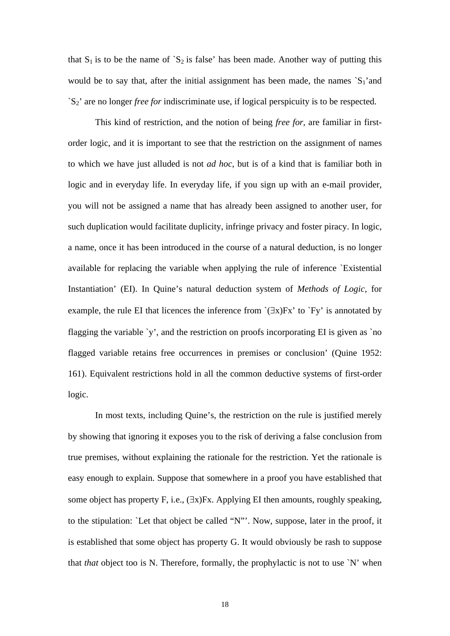that  $S_1$  is to be the name of  $S_2$  is false' has been made. Another way of putting this would be to say that, after the initial assignment has been made, the names  $S_1$ 'and `S2' are no longer *free for* indiscriminate use, if logical perspicuity is to be respected.

This kind of restriction, and the notion of being *free for,* are familiar in firstorder logic, and it is important to see that the restriction on the assignment of names to which we have just alluded is not *ad hoc*, but is of a kind that is familiar both in logic and in everyday life. In everyday life, if you sign up with an e-mail provider, you will not be assigned a name that has already been assigned to another user, for such duplication would facilitate duplicity, infringe privacy and foster piracy. In logic, a name, once it has been introduced in the course of a natural deduction, is no longer available for replacing the variable when applying the rule of inference `Existential Instantiation' (EI). In Quine's natural deduction system of *Methods of Logic*, for example, the rule EI that licences the inference from  $\Gamma(\exists x)Fx'$  to  $Fy'$  is annotated by flagging the variable `y', and the restriction on proofs incorporating EI is given as `no flagged variable retains free occurrences in premises or conclusion' (Quine 1952: 161). Equivalent restrictions hold in all the common deductive systems of first-order logic.

In most texts, including Quine's, the restriction on the rule is justified merely by showing that ignoring it exposes you to the risk of deriving a false conclusion from true premises, without explaining the rationale for the restriction. Yet the rationale is easy enough to explain. Suppose that somewhere in a proof you have established that some object has property F, i.e., (∃x)Fx. Applying EI then amounts, roughly speaking, to the stipulation: `Let that object be called "N"'. Now, suppose, later in the proof, it is established that some object has property G. It would obviously be rash to suppose that *that* object too is N. Therefore, formally, the prophylactic is not to use `N' when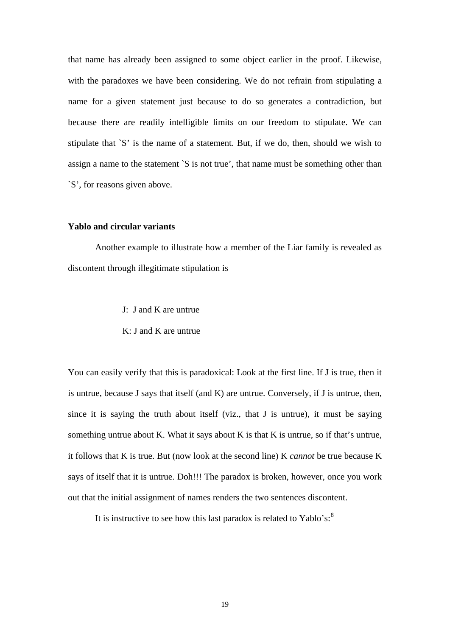that name has already been assigned to some object earlier in the proof. Likewise, with the paradoxes we have been considering. We do not refrain from stipulating a name for a given statement just because to do so generates a contradiction, but because there are readily intelligible limits on our freedom to stipulate. We can stipulate that `S' is the name of a statement. But, if we do, then, should we wish to assign a name to the statement `S is not true', that name must be something other than `S', for reasons given above.

#### **Yablo and circular variants**

 Another example to illustrate how a member of the Liar family is revealed as discontent through illegitimate stipulation is

J: J and K are untrue

#### K: J and K are untrue

You can easily verify that this is paradoxical: Look at the first line. If J is true, then it is untrue, because J says that itself (and K) are untrue. Conversely, if J is untrue, then, since it is saying the truth about itself (viz., that J is untrue), it must be saying something untrue about K. What it says about K is that K is untrue, so if that's untrue, it follows that K is true. But (now look at the second line) K *cannot* be true because K says of itself that it is untrue. Doh!!! The paradox is broken, however, once you work out that the initial assignment of names renders the two sentences discontent.

It is instructive to see how this last paradox is related to Yablo's: $8^8$  $8^8$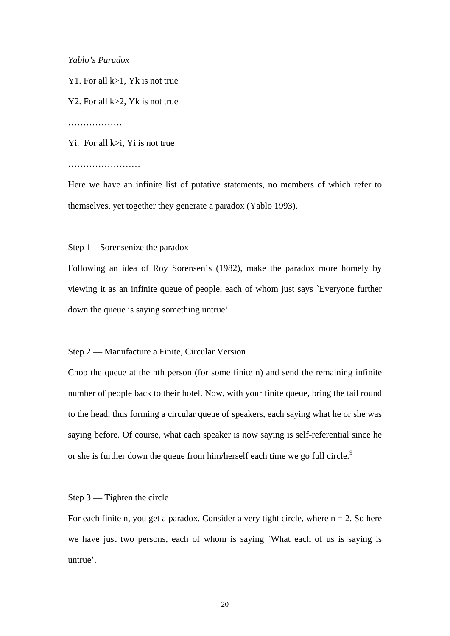#### *Yablo's Paradox*

Y1. For all  $k>1$ . Yk is not true

Y2. For all k>2, Yk is not true

…………………

Yi. For all  $k>i$ , Yi is not true

……………………

Here we have an infinite list of putative statements, no members of which refer to themselves, yet together they generate a paradox (Yablo 1993).

Step 1 – Sorensenize the paradox

Following an idea of Roy Sorensen's (1982), make the paradox more homely by viewing it as an infinite queue of people, each of whom just says `Everyone further down the queue is saying something untrue'

Step 2 **—** Manufacture a Finite, Circular Version

Chop the queue at the nth person (for some finite n) and send the remaining infinite number of people back to their hotel. Now, with your finite queue, bring the tail round to the head, thus forming a circular queue of speakers, each saying what he or she was saying before. Of course, what each speaker is now saying is self-referential since he or she is further down the queue from him/herself each time we go full circle.<sup>[9](#page-23-0)</sup>

Step 3 **—** Tighten the circle

For each finite n, you get a paradox. Consider a very tight circle, where  $n = 2$ . So here we have just two persons, each of whom is saying `What each of us is saying is untrue'.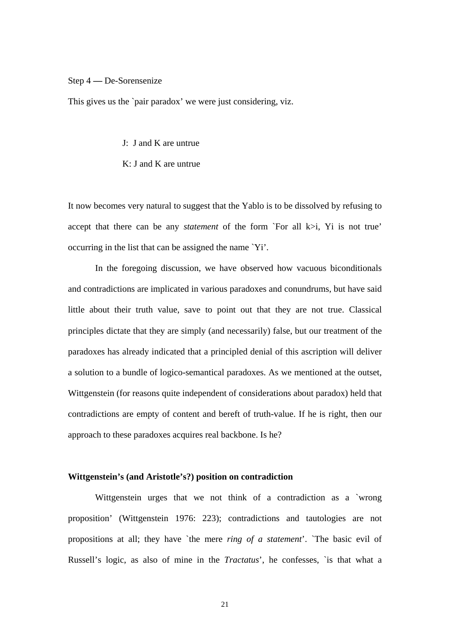#### Step 4 **—** De-Sorensenize

This gives us the `pair paradox' we were just considering, viz.

#### J: J and K are untrue

#### K: J and K are untrue

It now becomes very natural to suggest that the Yablo is to be dissolved by refusing to accept that there can be any *statement* of the form `For all k>i, Yi is not true' occurring in the list that can be assigned the name `Yi'.

In the foregoing discussion, we have observed how vacuous biconditionals and contradictions are implicated in various paradoxes and conundrums, but have said little about their truth value, save to point out that they are not true. Classical principles dictate that they are simply (and necessarily) false, but our treatment of the paradoxes has already indicated that a principled denial of this ascription will deliver a solution to a bundle of logico-semantical paradoxes. As we mentioned at the outset, Wittgenstein (for reasons quite independent of considerations about paradox) held that contradictions are empty of content and bereft of truth-value. If he is right, then our approach to these paradoxes acquires real backbone. Is he?

#### **Wittgenstein's (and Aristotle's?) position on contradiction**

Wittgenstein urges that we not think of a contradiction as a `wrong proposition' (Wittgenstein 1976: 223); contradictions and tautologies are not propositions at all; they have `the mere *ring of a statement*'. `The basic evil of Russell's logic, as also of mine in the *Tractatus*', he confesses, `is that what a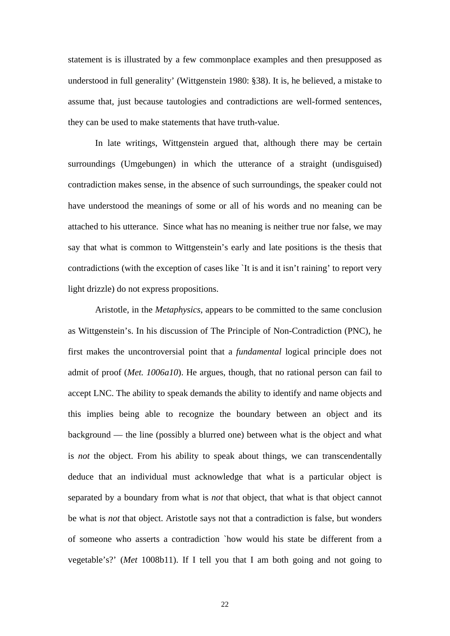<span id="page-22-1"></span>statement is is illustrated by a few commonplace examples and then presupposed as understood in full generality' (Wittgenstein 1980: §38). It is, he believed, a mistake to assume that, just because tautologies and contradictions are well-formed sentences, they can be used to make statements that have truth-value.

<span id="page-22-0"></span> In late writings, Wittgenstein argued that, although there may be certain surroundings (Umgebungen) in which the utterance of a straight (undisguised) contradiction makes sense, in the absence of such surroundings, the speaker could not have understood the meanings of some or all of his words and no meaning can be attached to his utterance. Since what has no meaning is neither true nor false, we may say that what is common to Wittgenstein's early and late positions is the thesis that contradictions (with the exception of cases like `It is and it isn't raining' to report very light drizzle) do not express propositions.

Aristotle, in the *Metaphysics*, appears to be committed to the same conclusion as Wittgenstein's. In his discussion of The Principle of Non-Contradiction (PNC), he first makes the uncontroversial point that a *fundamental* logical principle does not admit of proof (*Met. 1006a10*). He argues, though, that no rational person can fail to accept LNC. The ability to speak demands the ability to identify and name objects and this implies being able to recognize the boundary between an object and its background — the line (possibly a blurred one) between what is the object and what is *not* the object. From his ability to speak about things, we can transcendentally deduce that an individual must acknowledge that what is a particular object is separated by a boundary from what is *not* that object, that what is that object cannot be what is *not* that object. Aristotle says not that a contradiction is false, but wonders of someone who asserts a contradiction `how would his state be different from a vegetable's?' (*Met* 1008b11). If I tell you that I am both going and not going to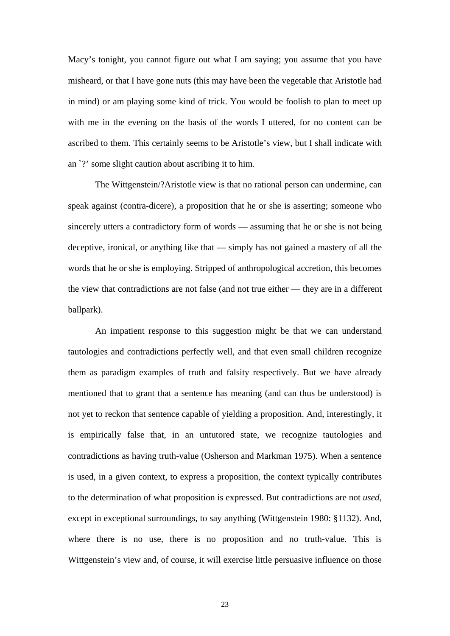<span id="page-23-0"></span>Macy's tonight, you cannot figure out what I am saying; you assume that you have misheard, or that I have gone nuts (this may have been the vegetable that Aristotle had in mind) or am playing some kind of trick. You would be foolish to plan to meet up with me in the evening on the basis of the words I uttered, for no content can be ascribed to them. This certainly seems to be Aristotle's view, but I shall indicate with an `?' some slight caution about ascribing it to him.

The Wittgenstein/?Aristotle view is that no rational person can undermine, can speak against (contra-dicere), a proposition that he or she is asserting; someone who sincerely utters a contradictory form of words — assuming that he or she is not being deceptive, ironical, or anything like that — simply has not gained a mastery of all the words that he or she is employing. Stripped of anthropological accretion, this becomes the view that contradictions are not false (and not true either — they are in a different ballpark).

An impatient response to this suggestion might be that we can understand tautologies and contradictions perfectly well, and that even small children recognize them as paradigm examples of truth and falsity respectively. But we have already mentioned that to grant that a sentence has meaning (and can thus be understood) is not yet to reckon that sentence capable of yielding a proposition. And, interestingly, it is empirically false that, in an untutored state, we recognize tautologies and contradictions as having truth-value (Osherson and Markman 1975). When a sentence is used, in a given context, to express a proposition, the context typically contributes to the determination of what proposition is expressed. But contradictions are not *used*, except in exceptional surroundings, to say anything (Wittgenstein 1980: §1132). And, where there is no use, there is no proposition and no truth-value. This is Wittgenstein's view and, of course, it will exercise little persuasive influence on those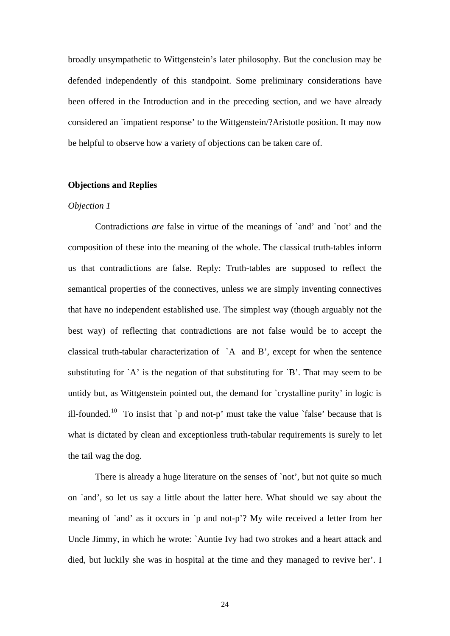broadly unsympathetic to Wittgenstein's later philosophy. But the conclusion may be defended independently of this standpoint. Some preliminary considerations have been offered in the Introduction and in the preceding section, and we have already considered an `impatient response' to the Wittgenstein/?Aristotle position. It may now be helpful to observe how a variety of objections can be taken care of.

#### **Objections and Replies**

#### *Objection 1*

Contradictions *are* false in virtue of the meanings of `and' and `not' and the composition of these into the meaning of the whole. The classical truth-tables inform us that contradictions are false. Reply: Truth-tables are supposed to reflect the semantical properties of the connectives, unless we are simply inventing connectives that have no independent established use. The simplest way (though arguably not the best way) of reflecting that contradictions are not false would be to accept the classical truth-tabular characterization of `A and B', except for when the sentence substituting for `A' is the negation of that substituting for `B'. That may seem to be untidy but, as Wittgenstein pointed out, the demand for `crystalline purity' in logic is ill-founded.<sup>[10](#page-23-0)</sup> To insist that  $\gamma$  and not-p' must take the value  $\gamma$  false' because that is what is dictated by clean and exceptionless truth-tabular requirements is surely to let the tail wag the dog.

There is already a huge literature on the senses of 'not', but not quite so much on `and', so let us say a little about the latter here. What should we say about the meaning of `and' as it occurs in `p and not-p'? My wife received a letter from her Uncle Jimmy, in which he wrote: `Auntie Ivy had two strokes and a heart attack and died, but luckily she was in hospital at the time and they managed to revive her'. I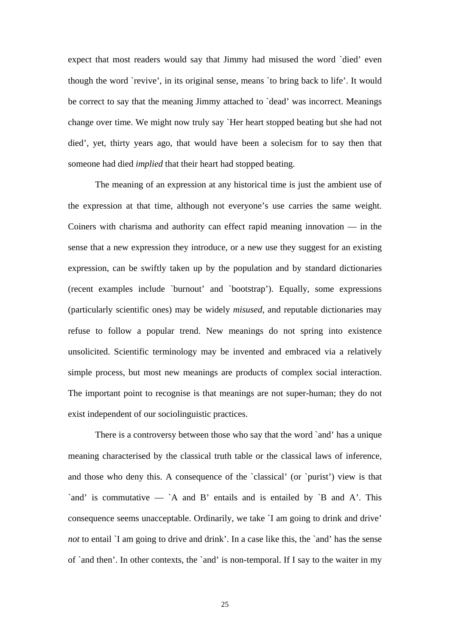expect that most readers would say that Jimmy had misused the word `died' even though the word `revive', in its original sense, means `to bring back to life'. It would be correct to say that the meaning Jimmy attached to `dead' was incorrect. Meanings change over time. We might now truly say `Her heart stopped beating but she had not died', yet, thirty years ago, that would have been a solecism for to say then that someone had died *implied* that their heart had stopped beating.

The meaning of an expression at any historical time is just the ambient use of the expression at that time, although not everyone's use carries the same weight. Coiners with charisma and authority can effect rapid meaning innovation — in the sense that a new expression they introduce, or a new use they suggest for an existing expression, can be swiftly taken up by the population and by standard dictionaries (recent examples include `burnout' and `bootstrap'). Equally, some expressions (particularly scientific ones) may be widely *misused*, and reputable dictionaries may refuse to follow a popular trend. New meanings do not spring into existence unsolicited. Scientific terminology may be invented and embraced via a relatively simple process, but most new meanings are products of complex social interaction. The important point to recognise is that meanings are not super-human; they do not exist independent of our sociolinguistic practices.

There is a controversy between those who say that the word 'and' has a unique meaning characterised by the classical truth table or the classical laws of inference, and those who deny this. A consequence of the `classical' (or `purist') view is that 'and' is commutative  $-$  'A and B' entails and is entailed by 'B and A'. This consequence seems unacceptable. Ordinarily, we take `I am going to drink and drive' *not* to entail *I* am going to drive and drink'. In a case like this, the 'and' has the sense of `and then'. In other contexts, the `and' is non-temporal. If I say to the waiter in my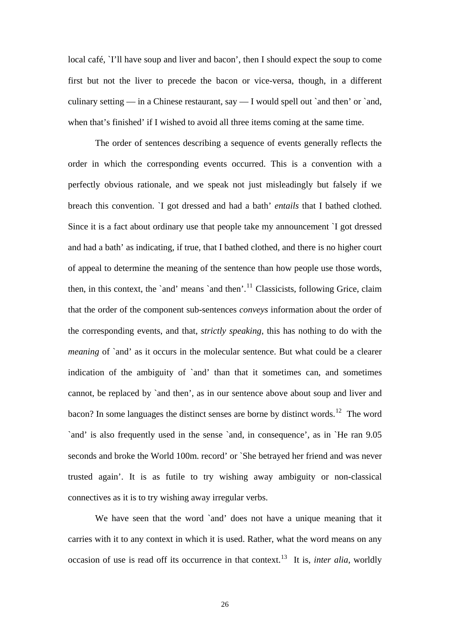local café, `I'll have soup and liver and bacon', then I should expect the soup to come first but not the liver to precede the bacon or vice-versa, though, in a different culinary setting — in a Chinese restaurant, say — I would spell out 'and then' or 'and, when that's finished' if I wished to avoid all three items coming at the same time.

 The order of sentences describing a sequence of events generally reflects the order in which the corresponding events occurred. This is a convention with a perfectly obvious rationale, and we speak not just misleadingly but falsely if we breach this convention. `I got dressed and had a bath' *entails* that I bathed clothed. Since it is a fact about ordinary use that people take my announcement `I got dressed and had a bath' as indicating, if true, that I bathed clothed, and there is no higher court of appeal to determine the meaning of the sentence than how people use those words, then, in this context, the 'and' means 'and then'.<sup>[11](#page-23-0)</sup> Classicists, following Grice, claim that the order of the component sub-sentences *conveys* information about the order of the corresponding events, and that, *strictly speaking*, this has nothing to do with the *meaning* of `and' as it occurs in the molecular sentence. But what could be a clearer indication of the ambiguity of `and' than that it sometimes can, and sometimes cannot, be replaced by `and then', as in our sentence above about soup and liver and bacon? In some languages the distinct senses are borne by distinct words.[12](#page-23-0) The word `and' is also frequently used in the sense `and, in consequence', as in `He ran 9.05 seconds and broke the World 100m. record' or `She betrayed her friend and was never trusted again'. It is as futile to try wishing away ambiguity or non-classical connectives as it is to try wishing away irregular verbs.

We have seen that the word 'and' does not have a unique meaning that it carries with it to any context in which it is used. Rather, what the word means on any occasion of use is read off its occurrence in that context.[13](#page-23-0) It is, *inter alia*, worldly

26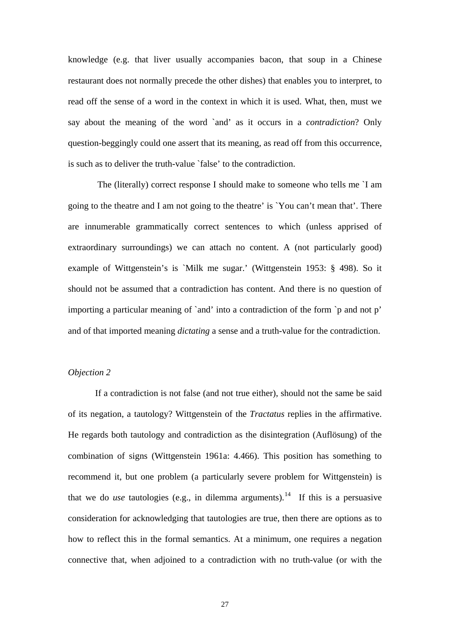knowledge (e.g. that liver usually accompanies bacon, that soup in a Chinese restaurant does not normally precede the other dishes) that enables you to interpret, to read off the sense of a word in the context in which it is used. What, then, must we say about the meaning of the word `and' as it occurs in a *contradiction*? Only question-beggingly could one assert that its meaning, as read off from this occurrence, is such as to deliver the truth-value `false' to the contradiction.

 The (literally) correct response I should make to someone who tells me `I am going to the theatre and I am not going to the theatre' is `You can't mean that'. There are innumerable grammatically correct sentences to which (unless apprised of extraordinary surroundings) we can attach no content. A (not particularly good) example of Wittgenstein's is `Milk me sugar.' (Wittgenstein 1953: § 498). So it should not be assumed that a contradiction has content. And there is no question of importing a particular meaning of `and' into a contradiction of the form `p and not p' and of that imported meaning *dictating* a sense and a truth-value for the contradiction.

#### *Objection 2*

If a contradiction is not false (and not true either), should not the same be said of its negation, a tautology? Wittgenstein of the *Tractatus* replies in the affirmative. He regards both tautology and contradiction as the disintegration (Auflösung) of the combination of signs (Wittgenstein 1961a: 4.466). This position has something to recommend it, but one problem (a particularly severe problem for Wittgenstein) is that we do *use* tautologies (e.g., in dilemma arguments).<sup>[14](#page-23-0)</sup> If this is a persuasive consideration for acknowledging that tautologies are true, then there are options as to how to reflect this in the formal semantics. At a minimum, one requires a negation connective that, when adjoined to a contradiction with no truth-value (or with the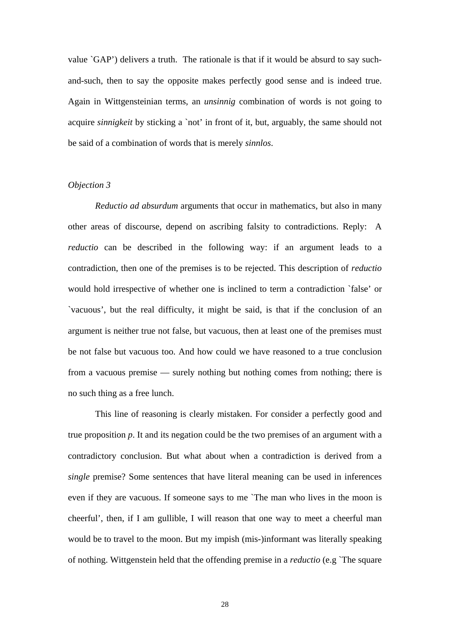value `GAP') delivers a truth. The rationale is that if it would be absurd to say suchand-such, then to say the opposite makes perfectly good sense and is indeed true. Again in Wittgensteinian terms, an *unsinnig* combination of words is not going to acquire *sinnigkeit* by sticking a `not' in front of it, but, arguably, the same should not be said of a combination of words that is merely *sinnlos*.

#### *Objection 3*

*Reductio ad absurdum* arguments that occur in mathematics, but also in many other areas of discourse, depend on ascribing falsity to contradictions. Reply: A *reductio* can be described in the following way: if an argument leads to a contradiction, then one of the premises is to be rejected. This description of *reductio* would hold irrespective of whether one is inclined to term a contradiction `false' or `vacuous', but the real difficulty, it might be said, is that if the conclusion of an argument is neither true not false, but vacuous, then at least one of the premises must be not false but vacuous too. And how could we have reasoned to a true conclusion from a vacuous premise — surely nothing but nothing comes from nothing; there is no such thing as a free lunch.

This line of reasoning is clearly mistaken. For consider a perfectly good and true proposition *p*. It and its negation could be the two premises of an argument with a contradictory conclusion. But what about when a contradiction is derived from a *single* premise? Some sentences that have literal meaning can be used in inferences even if they are vacuous. If someone says to me `The man who lives in the moon is cheerful', then, if I am gullible, I will reason that one way to meet a cheerful man would be to travel to the moon. But my impish (mis-)informant was literally speaking of nothing. Wittgenstein held that the offending premise in a *reductio* (e.g `The square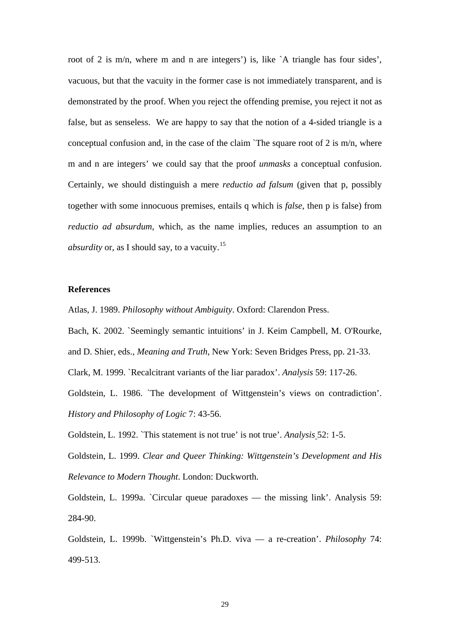root of 2 is m/n, where m and n are integers') is, like `A triangle has four sides', vacuous, but that the vacuity in the former case is not immediately transparent, and is demonstrated by the proof. When you reject the offending premise, you reject it not as false, but as senseless. We are happy to say that the notion of a 4-sided triangle is a conceptual confusion and, in the case of the claim `The square root of 2 is m/n, where m and n are integers' we could say that the proof *unmasks* a conceptual confusion. Certainly, we should distinguish a mere *reductio ad falsum* (given that p, possibly together with some innocuous premises, entails q which is *false*, then p is false) from *reductio ad absurdum*, which, as the name implies, reduces an assumption to an *absurdity* or, as I should say, to a vacuity.<sup>[15](#page-23-0)</sup>

#### **References**

Atlas, J. 1989. *Philosophy without Ambiguity*. Oxford: Clarendon Press.

Bach, K. 2002. `Seemingly semantic intuitions' in J. Keim Campbell, M. O'Rourke,

and D. Shier, eds., *Meaning and Truth,* New York: Seven Bridges Press, pp. 21-33.

Clark, M. 1999. `Recalcitrant variants of the liar paradox'. *Analysis* 59: 117-26.

Goldstein, L. 1986. `The development of Wittgenstein's views on contradiction'. *History and Philosophy of Logic* 7: 43-56.

Goldstein, L. 1992. `This statement is not true' is not true'. *Analysis* 52: 1-5.

Goldstein, L. 1999. *Clear and Queer Thinking: Wittgenstein's Development and His Relevance to Modern Thought*. London: Duckworth.

Goldstein, L. 1999a. `Circular queue paradoxes — the missing link'. Analysis 59: 284-90.

Goldstein, L. 1999b. `Wittgenstein's Ph.D. viva — a re-creation'. *Philosophy* 74: 499-513.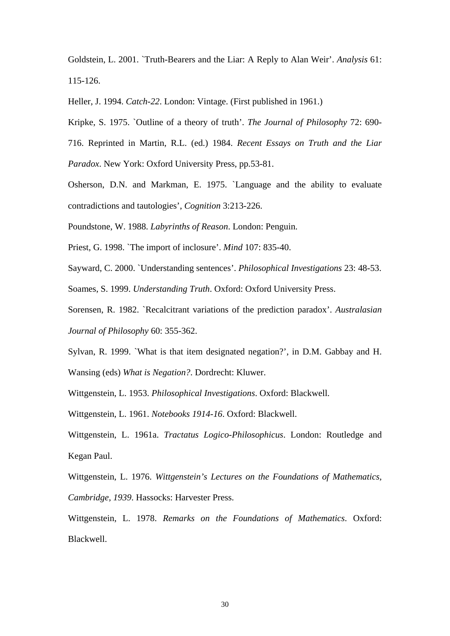Goldstein, L. 2001. `Truth-Bearers and the Liar: A Reply to Alan Weir'. *Analysis* 61: 115-126.

Heller, J. 1994. *Catch-22*. London: Vintage. (First published in 1961.)

Kripke, S. 1975. `Outline of a theory of truth'. *The Journal of Philosophy* 72: 690-

716. Reprinted in Martin, R.L. (ed.) 1984. *Recent Essays on Truth and the Liar Paradox*. New York: Oxford University Press, pp.53-81.

Osherson, D.N. and Markman, E. 1975. `Language and the ability to evaluate contradictions and tautologies', *Cognition* 3:213-226.

Poundstone, W. 1988. *Labyrinths of Reason*. London: Penguin.

Priest, G. 1998. `The import of inclosure'. *Mind* 107: 835-40.

Sayward, C. 2000. `Understanding sentences'. *Philosophical Investigations* 23: 48-53.

Soames, S. 1999. *Understanding Truth*. Oxford: Oxford University Press.

Sorensen, R. 1982. `Recalcitrant variations of the prediction paradox'. *Australasian Journal of Philosophy* 60: 355-362.

Sylvan, R. 1999. `What is that item designated negation?', in D.M. Gabbay and H. Wansing (eds) *What is Negation?*. Dordrecht: Kluwer.

Wittgenstein, L. 1953. *Philosophical Investigations*. Oxford: Blackwell.

Wittgenstein, L. 1961. *Notebooks 1914-16*. Oxford: Blackwell.

Wittgenstein, L. 1961a. *Tractatus Logico-Philosophicus*. London: Routledge and Kegan Paul.

Wittgenstein, L. 1976. *Wittgenstein's Lectures on the Foundations of Mathematics, Cambridge, 1939*. Hassocks: Harvester Press.

Wittgenstein, L. 1978. *Remarks on the Foundations of Mathematics*. Oxford: Blackwell.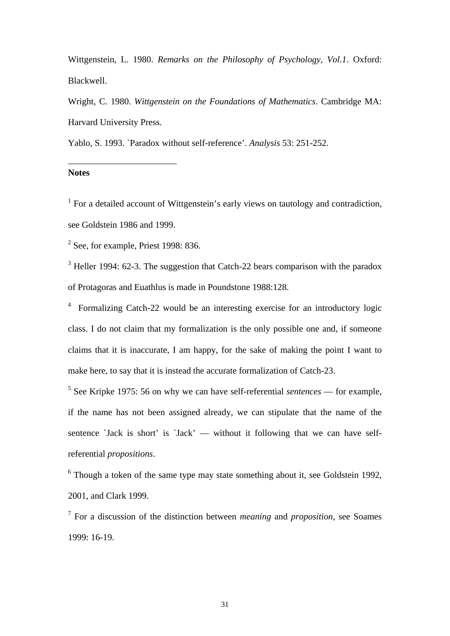Wittgenstein, L. 1980. *Remarks on the Philosophy of Psychology, Vol.1*. Oxford: Blackwell.

Wright, C. 1980. *Wittgenstein on the Foundations of Mathematics*. Cambridge MA: Harvard University Press.

Yablo, S. 1993. `Paradox without self-reference'. *Analysis* 53: 251-252.

#### **Notes**

-

<sup>1</sup> For a detailed account of Wittgenstein's early views on tautology and contradiction, see Goldstein 1986 and 1999.

 $2$  See, for example, Priest 1998: 836.

<sup>3</sup> Heller 1994: 62-3. The suggestion that Catch-22 bears comparison with the paradox of Protagoras and Euathlus is made in Poundstone 1988:128.

<sup>4</sup> Formalizing Catch-22 would be an interesting exercise for an introductory logic class. I do not claim that my formalization is the only possible one and, if someone claims that it is inaccurate, I am happy, for the sake of making the point I want to make here, to say that it is instead the accurate formalization of Catch-23.

5 See Kripke 1975: 56 on why we can have self-referential *sentences* — for example, if the name has not been assigned already, we can stipulate that the name of the sentence `Jack is short' is `Jack' — without it following that we can have selfreferential *propositions*.

<sup>6</sup> Though a token of the same type may state something about it, see Goldstein 1992, 2001, and Clark 1999.

7 For a discussion of the distinction between *meaning* and *proposition*, see Soames 1999: 16-19.